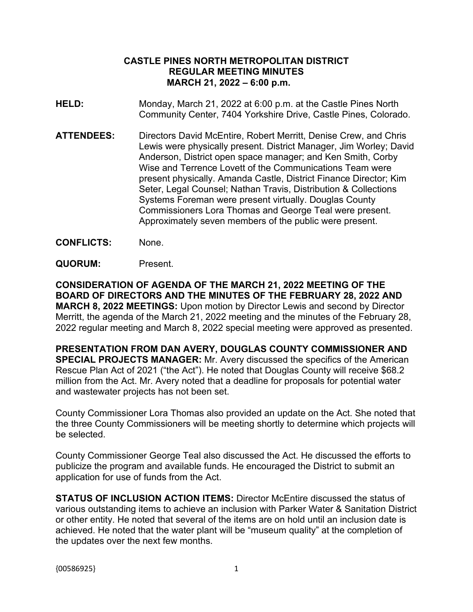## **CASTLE PINES NORTH METROPOLITAN DISTRICT REGULAR MEETING MINUTES MARCH 21, 2022 – 6:00 p.m.**

- **HELD:** Monday, March 21, 2022 at 6:00 p.m. at the Castle Pines North Community Center, 7404 Yorkshire Drive, Castle Pines, Colorado.
- **ATTENDEES:** Directors David McEntire, Robert Merritt, Denise Crew, and Chris Lewis were physically present. District Manager, Jim Worley; David Anderson, District open space manager; and Ken Smith, Corby Wise and Terrence Lovett of the Communications Team were present physically. Amanda Castle, District Finance Director; Kim Seter, Legal Counsel; Nathan Travis, Distribution & Collections Systems Foreman were present virtually. Douglas County Commissioners Lora Thomas and George Teal were present. Approximately seven members of the public were present.
- **CONFLICTS:** None.
- **QUORUM:** Present.

**CONSIDERATION OF AGENDA OF THE MARCH 21, 2022 MEETING OF THE BOARD OF DIRECTORS AND THE MINUTES OF THE FEBRUARY 28, 2022 AND MARCH 8, 2022 MEETINGS:** Upon motion by Director Lewis and second by Director Merritt, the agenda of the March 21, 2022 meeting and the minutes of the February 28, 2022 regular meeting and March 8, 2022 special meeting were approved as presented.

**PRESENTATION FROM DAN AVERY, DOUGLAS COUNTY COMMISSIONER AND SPECIAL PROJECTS MANAGER:** Mr. Avery discussed the specifics of the American Rescue Plan Act of 2021 ("the Act"). He noted that Douglas County will receive \$68.2 million from the Act. Mr. Avery noted that a deadline for proposals for potential water and wastewater projects has not been set.

County Commissioner Lora Thomas also provided an update on the Act. She noted that the three County Commissioners will be meeting shortly to determine which projects will be selected.

County Commissioner George Teal also discussed the Act. He discussed the efforts to publicize the program and available funds. He encouraged the District to submit an application for use of funds from the Act.

**STATUS OF INCLUSION ACTION ITEMS:** Director McEntire discussed the status of various outstanding items to achieve an inclusion with Parker Water & Sanitation District or other entity. He noted that several of the items are on hold until an inclusion date is achieved. He noted that the water plant will be "museum quality" at the completion of the updates over the next few months.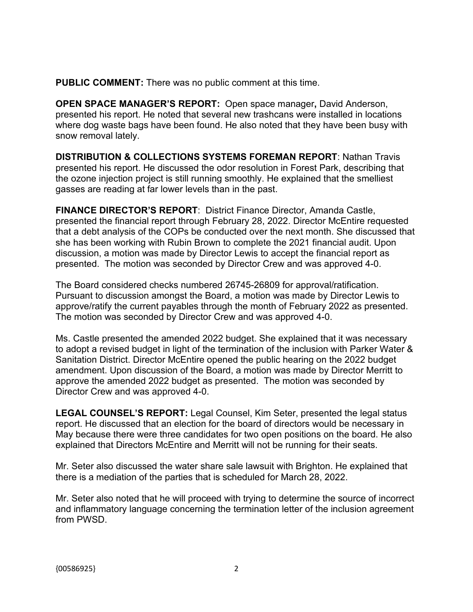**PUBLIC COMMENT:** There was no public comment at this time.

**OPEN SPACE MANAGER'S REPORT:** Open space manager**,** David Anderson, presented his report. He noted that several new trashcans were installed in locations where dog waste bags have been found. He also noted that they have been busy with snow removal lately.

**DISTRIBUTION & COLLECTIONS SYSTEMS FOREMAN REPORT**: Nathan Travis presented his report. He discussed the odor resolution in Forest Park, describing that the ozone injection project is still running smoothly. He explained that the smelliest gasses are reading at far lower levels than in the past.

**FINANCE DIRECTOR'S REPORT**: District Finance Director, Amanda Castle, presented the financial report through February 28, 2022. Director McEntire requested that a debt analysis of the COPs be conducted over the next month. She discussed that she has been working with Rubin Brown to complete the 2021 financial audit. Upon discussion, a motion was made by Director Lewis to accept the financial report as presented. The motion was seconded by Director Crew and was approved 4-0.

The Board considered checks numbered 26745-26809 for approval/ratification. Pursuant to discussion amongst the Board, a motion was made by Director Lewis to approve/ratify the current payables through the month of February 2022 as presented. The motion was seconded by Director Crew and was approved 4-0.

Ms. Castle presented the amended 2022 budget. She explained that it was necessary to adopt a revised budget in light of the termination of the inclusion with Parker Water & Sanitation District. Director McEntire opened the public hearing on the 2022 budget amendment. Upon discussion of the Board, a motion was made by Director Merritt to approve the amended 2022 budget as presented. The motion was seconded by Director Crew and was approved 4-0.

**LEGAL COUNSEL'S REPORT:** Legal Counsel, Kim Seter, presented the legal status report. He discussed that an election for the board of directors would be necessary in May because there were three candidates for two open positions on the board. He also explained that Directors McEntire and Merritt will not be running for their seats.

Mr. Seter also discussed the water share sale lawsuit with Brighton. He explained that there is a mediation of the parties that is scheduled for March 28, 2022.

Mr. Seter also noted that he will proceed with trying to determine the source of incorrect and inflammatory language concerning the termination letter of the inclusion agreement from PWSD.